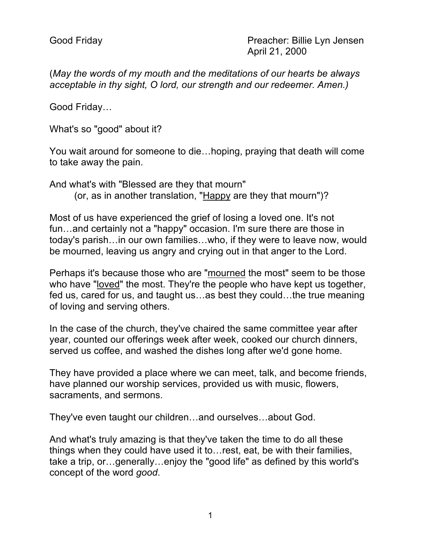(*May the words of my mouth and the meditations of our hearts be always acceptable in thy sight, O lord, our strength and our redeemer. Amen.)*

Good Friday…

What's so "good" about it?

You wait around for someone to die…hoping, praying that death will come to take away the pain.

And what's with "Blessed are they that mourn" (or, as in another translation, "Happy are they that mourn")?

Most of us have experienced the grief of losing a loved one. It's not fun…and certainly not a "happy" occasion. I'm sure there are those in today's parish…in our own families…who, if they were to leave now, would be mourned, leaving us angry and crying out in that anger to the Lord.

Perhaps it's because those who are "mourned the most" seem to be those who have "loved" the most. They're the people who have kept us together, fed us, cared for us, and taught us…as best they could…the true meaning of loving and serving others.

In the case of the church, they've chaired the same committee year after year, counted our offerings week after week, cooked our church dinners, served us coffee, and washed the dishes long after we'd gone home.

They have provided a place where we can meet, talk, and become friends, have planned our worship services, provided us with music, flowers, sacraments, and sermons.

They've even taught our children…and ourselves…about God.

And what's truly amazing is that they've taken the time to do all these things when they could have used it to…rest, eat, be with their families, take a trip, or…generally…enjoy the "good life" as defined by this world's concept of the word *good*.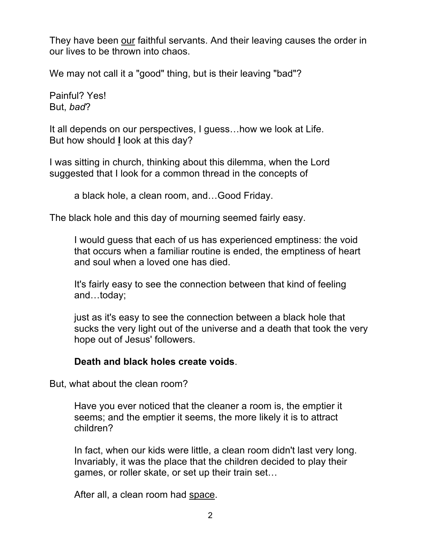They have been our faithful servants. And their leaving causes the order in our lives to be thrown into chaos.

We may not call it a "good" thing, but is their leaving "bad"?

Painful? Yes! But, *bad*?

It all depends on our perspectives, I guess…how we look at Life. But how should **I** look at this day?

I was sitting in church, thinking about this dilemma, when the Lord suggested that I look for a common thread in the concepts of

a black hole, a clean room, and…Good Friday.

The black hole and this day of mourning seemed fairly easy.

I would guess that each of us has experienced emptiness: the void that occurs when a familiar routine is ended, the emptiness of heart and soul when a loved one has died.

It's fairly easy to see the connection between that kind of feeling and…today;

just as it's easy to see the connection between a black hole that sucks the very light out of the universe and a death that took the very hope out of Jesus' followers.

## **Death and black holes create voids**.

But, what about the clean room?

Have you ever noticed that the cleaner a room is, the emptier it seems; and the emptier it seems, the more likely it is to attract children?

In fact, when our kids were little, a clean room didn't last very long. Invariably, it was the place that the children decided to play their games, or roller skate, or set up their train set…

After all, a clean room had space.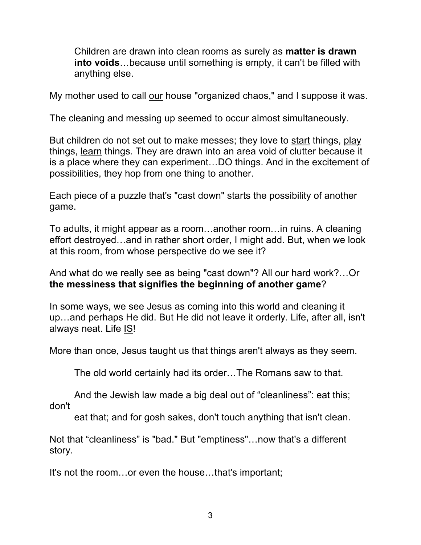Children are drawn into clean rooms as surely as **matter is drawn into voids**…because until something is empty, it can't be filled with anything else.

My mother used to call our house "organized chaos," and I suppose it was.

The cleaning and messing up seemed to occur almost simultaneously.

But children do not set out to make messes; they love to start things, play things, learn things. They are drawn into an area void of clutter because it is a place where they can experiment…DO things. And in the excitement of possibilities, they hop from one thing to another.

Each piece of a puzzle that's "cast down" starts the possibility of another game.

To adults, it might appear as a room…another room…in ruins. A cleaning effort destroyed…and in rather short order, I might add. But, when we look at this room, from whose perspective do we see it?

And what do we really see as being "cast down"? All our hard work?…Or **the messiness that signifies the beginning of another game**?

In some ways, we see Jesus as coming into this world and cleaning it up…and perhaps He did. But He did not leave it orderly. Life, after all, isn't always neat. Life **IS!** 

More than once, Jesus taught us that things aren't always as they seem.

The old world certainly had its order…The Romans saw to that.

And the Jewish law made a big deal out of "cleanliness": eat this; don't

eat that; and for gosh sakes, don't touch anything that isn't clean.

Not that "cleanliness" is "bad." But "emptiness"…now that's a different story.

It's not the room…or even the house…that's important;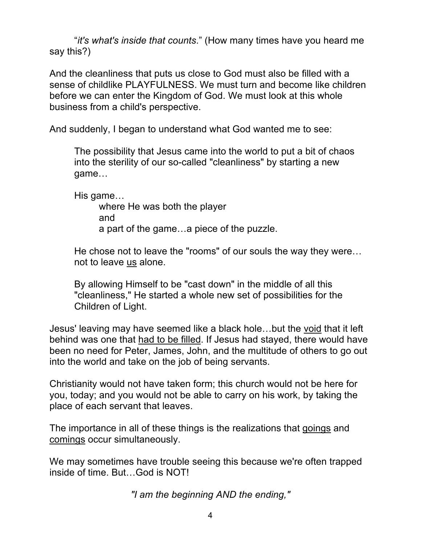"*it's what's inside that counts*." (How many times have you heard me say this?)

And the cleanliness that puts us close to God must also be filled with a sense of childlike PLAYFULNESS. We must turn and become like children before we can enter the Kingdom of God. We must look at this whole business from a child's perspective.

And suddenly, I began to understand what God wanted me to see:

The possibility that Jesus came into the world to put a bit of chaos into the sterility of our so-called "cleanliness" by starting a new game…

His game…

where He was both the player and a part of the game…a piece of the puzzle.

He chose not to leave the "rooms" of our souls the way they were… not to leave us alone.

By allowing Himself to be "cast down" in the middle of all this "cleanliness," He started a whole new set of possibilities for the Children of Light.

Jesus' leaving may have seemed like a black hole…but the void that it left behind was one that had to be filled. If Jesus had stayed, there would have been no need for Peter, James, John, and the multitude of others to go out into the world and take on the job of being servants.

Christianity would not have taken form; this church would not be here for you, today; and you would not be able to carry on his work, by taking the place of each servant that leaves.

The importance in all of these things is the realizations that goings and comings occur simultaneously.

We may sometimes have trouble seeing this because we're often trapped inside of time. But…God is NOT!

*"I am the beginning AND the ending,"*